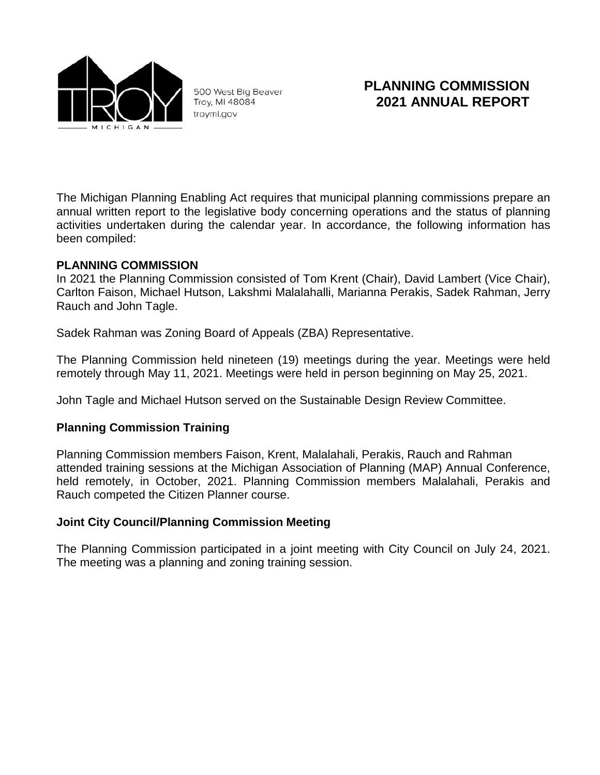

500 West Big Beaver Troy, MI 48084 troymi.gov

# **PLANNING COMMISSION 2021 ANNUAL REPORT**

The Michigan Planning Enabling Act requires that municipal planning commissions prepare an annual written report to the legislative body concerning operations and the status of planning activities undertaken during the calendar year. In accordance, the following information has been compiled:

#### **PLANNING COMMISSION**

In 2021 the Planning Commission consisted of Tom Krent (Chair), David Lambert (Vice Chair), Carlton Faison, Michael Hutson, Lakshmi Malalahalli, Marianna Perakis, Sadek Rahman, Jerry Rauch and John Tagle.

Sadek Rahman was Zoning Board of Appeals (ZBA) Representative.

The Planning Commission held nineteen (19) meetings during the year. Meetings were held remotely through May 11, 2021. Meetings were held in person beginning on May 25, 2021.

John Tagle and Michael Hutson served on the Sustainable Design Review Committee.

### **Planning Commission Training**

Planning Commission members Faison, Krent, Malalahali, Perakis, Rauch and Rahman attended training sessions at the Michigan Association of Planning (MAP) Annual Conference, held remotely, in October, 2021. Planning Commission members Malalahali, Perakis and Rauch competed the Citizen Planner course.

### **Joint City Council/Planning Commission Meeting**

The Planning Commission participated in a joint meeting with City Council on July 24, 2021. The meeting was a planning and zoning training session.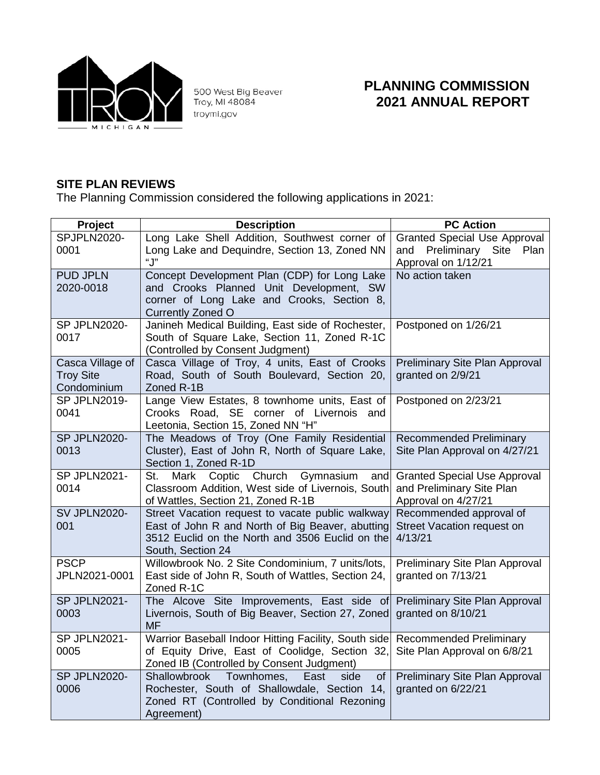

500 West Big Beaver<br>Troy, MI 48084 troymi.gov

## **PLANNING COMMISSION 2021 ANNUAL REPORT**

### **SITE PLAN REVIEWS**

The Planning Commission considered the following applications in 2021:

| Project                         | <b>Description</b>                                                                                  | <b>PC Action</b>                                                    |
|---------------------------------|-----------------------------------------------------------------------------------------------------|---------------------------------------------------------------------|
| SPJPLN2020-<br>0001             | Long Lake Shell Addition, Southwest corner of<br>Long Lake and Dequindre, Section 13, Zoned NN      | <b>Granted Special Use Approval</b><br>and Preliminary Site<br>Plan |
|                                 | "J"                                                                                                 | Approval on 1/12/21                                                 |
| <b>PUD JPLN</b>                 | Concept Development Plan (CDP) for Long Lake                                                        | No action taken                                                     |
| 2020-0018                       | and Crooks Planned Unit Development, SW<br>corner of Long Lake and Crooks, Section 8,               |                                                                     |
|                                 | <b>Currently Zoned O</b>                                                                            |                                                                     |
| SP JPLN2020-                    | Janineh Medical Building, East side of Rochester,                                                   | Postponed on 1/26/21                                                |
| 0017                            | South of Square Lake, Section 11, Zoned R-1C<br>(Controlled by Consent Judgment)                    |                                                                     |
| Casca Village of                | Casca Village of Troy, 4 units, East of Crooks                                                      | Preliminary Site Plan Approval                                      |
| <b>Troy Site</b><br>Condominium | Road, South of South Boulevard, Section 20,<br>Zoned R-1B                                           | granted on 2/9/21                                                   |
| SP JPLN2019-                    | Lange View Estates, 8 townhome units, East of                                                       | Postponed on 2/23/21                                                |
| 0041                            | Crooks Road, SE corner of Livernois and<br>Leetonia, Section 15, Zoned NN "H"                       |                                                                     |
| SP JPLN2020-                    | The Meadows of Troy (One Family Residential                                                         | <b>Recommended Preliminary</b>                                      |
| 0013                            | Cluster), East of John R, North of Square Lake,<br>Section 1, Zoned R-1D                            | Site Plan Approval on 4/27/21                                       |
| SP JPLN2021-<br>0014            | Church<br>Gymnasium<br>St.<br>Mark<br>Coptic<br>and                                                 | <b>Granted Special Use Approval</b>                                 |
|                                 | Classroom Addition, West side of Livernois, South<br>of Wattles, Section 21, Zoned R-1B             | and Preliminary Site Plan<br>Approval on 4/27/21                    |
| <b>SV JPLN2020-</b>             | Street Vacation request to vacate public walkway                                                    | Recommended approval of                                             |
| 001                             | East of John R and North of Big Beaver, abutting<br>3512 Euclid on the North and 3506 Euclid on the | Street Vacation request on<br>4/13/21                               |
|                                 | South, Section 24                                                                                   |                                                                     |
| <b>PSCP</b>                     | Willowbrook No. 2 Site Condominium, 7 units/lots,                                                   | Preliminary Site Plan Approval                                      |
| JPLN2021-0001                   | East side of John R, South of Wattles, Section 24,<br>Zoned R-1C                                    | granted on 7/13/21                                                  |
| SP JPLN2021-                    | The Alcove Site Improvements, East side of                                                          | Preliminary Site Plan Approval                                      |
| 0003                            | Livernois, South of Big Beaver, Section 27, Zoned<br><b>MF</b>                                      | granted on 8/10/21                                                  |
| SP JPLN2021-                    | Warrior Baseball Indoor Hitting Facility, South side                                                | <b>Recommended Preliminary</b>                                      |
| 0005                            | of Equity Drive, East of Coolidge, Section 32,<br>Zoned IB (Controlled by Consent Judgment)         | Site Plan Approval on 6/8/21                                        |
| SP JPLN2020-                    | Shallowbrook<br>Townhomes,<br>East<br>side<br>οf                                                    | Preliminary Site Plan Approval                                      |
| 0006                            | Rochester, South of Shallowdale, Section 14,                                                        | granted on 6/22/21                                                  |
|                                 | Zoned RT (Controlled by Conditional Rezoning<br>Agreement)                                          |                                                                     |
|                                 |                                                                                                     |                                                                     |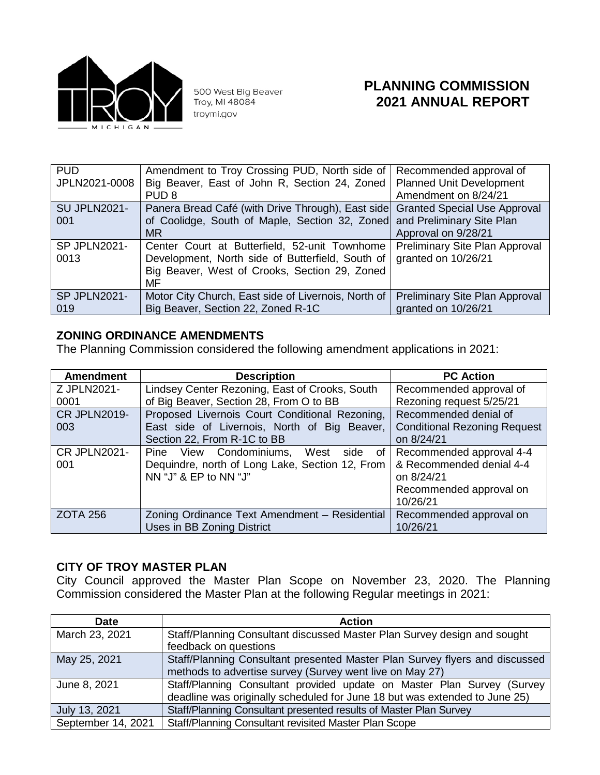

500 West Big Beaver<br>Troy, MI 48084 troymi.gov

## **PLANNING COMMISSION 2021 ANNUAL REPORT**

| <b>PUD</b><br>JPLN2021-0008 | Amendment to Troy Crossing PUD, North side of<br>Big Beaver, East of John R, Section 24, Zoned<br>PUD <sub>8</sub>                                                | Recommended approval of<br><b>Planned Unit Development</b><br>Amendment on 8/24/21 |
|-----------------------------|-------------------------------------------------------------------------------------------------------------------------------------------------------------------|------------------------------------------------------------------------------------|
| <b>SU JPLN2021-</b><br>001  | Panera Bread Café (with Drive Through), East side Granted Special Use Approval<br>of Coolidge, South of Maple, Section 32, Zoned and Preliminary Site Plan<br>MR. | Approval on 9/28/21                                                                |
| SP JPLN2021-<br>0013        | Center Court at Butterfield, 52-unit Townhome<br>Development, North side of Butterfield, South of<br>Big Beaver, West of Crooks, Section 29, Zoned<br>MF          | <b>Preliminary Site Plan Approval</b><br>granted on 10/26/21                       |
| <b>SP JPLN2021-</b><br>019  | Motor City Church, East side of Livernois, North of<br>Big Beaver, Section 22, Zoned R-1C                                                                         | Preliminary Site Plan Approval<br>granted on 10/26/21                              |

### **ZONING ORDINANCE AMENDMENTS**

The Planning Commission considered the following amendment applications in 2021:

| <b>Amendment</b>           | <b>Description</b>                                                                                                  | <b>PC Action</b>                                                                                          |
|----------------------------|---------------------------------------------------------------------------------------------------------------------|-----------------------------------------------------------------------------------------------------------|
| Z JPLN2021-                | Lindsey Center Rezoning, East of Crooks, South                                                                      | Recommended approval of                                                                                   |
| 0001                       | of Big Beaver, Section 28, From O to BB                                                                             | Rezoning request 5/25/21                                                                                  |
| <b>CR JPLN2019-</b>        | Proposed Livernois Court Conditional Rezoning,                                                                      | Recommended denial of                                                                                     |
| 003                        | East side of Livernois, North of Big Beaver,                                                                        | <b>Conditional Rezoning Request</b>                                                                       |
|                            | Section 22, From R-1C to BB                                                                                         | on 8/24/21                                                                                                |
| <b>CR JPLN2021-</b><br>001 | Pine View Condominiums, West<br>side of<br>Dequindre, north of Long Lake, Section 12, From<br>NN "J" & EP to NN "J" | Recommended approval 4-4<br>& Recommended denial 4-4<br>on 8/24/21<br>Recommended approval on<br>10/26/21 |
| <b>ZOTA 256</b>            | Zoning Ordinance Text Amendment - Residential<br>Uses in BB Zoning District                                         | Recommended approval on<br>10/26/21                                                                       |

#### **CITY OF TROY MASTER PLAN**

City Council approved the Master Plan Scope on November 23, 2020. The Planning Commission considered the Master Plan at the following Regular meetings in 2021:

| <b>Date</b>        | <b>Action</b>                                                               |
|--------------------|-----------------------------------------------------------------------------|
| March 23, 2021     | Staff/Planning Consultant discussed Master Plan Survey design and sought    |
|                    | feedback on questions                                                       |
| May 25, 2021       | Staff/Planning Consultant presented Master Plan Survey flyers and discussed |
|                    | methods to advertise survey (Survey went live on May 27)                    |
| June 8, 2021       | Staff/Planning Consultant provided update on Master Plan Survey (Survey     |
|                    | deadline was originally scheduled for June 18 but was extended to June 25)  |
| July 13, 2021      | Staff/Planning Consultant presented results of Master Plan Survey           |
| September 14, 2021 | Staff/Planning Consultant revisited Master Plan Scope                       |